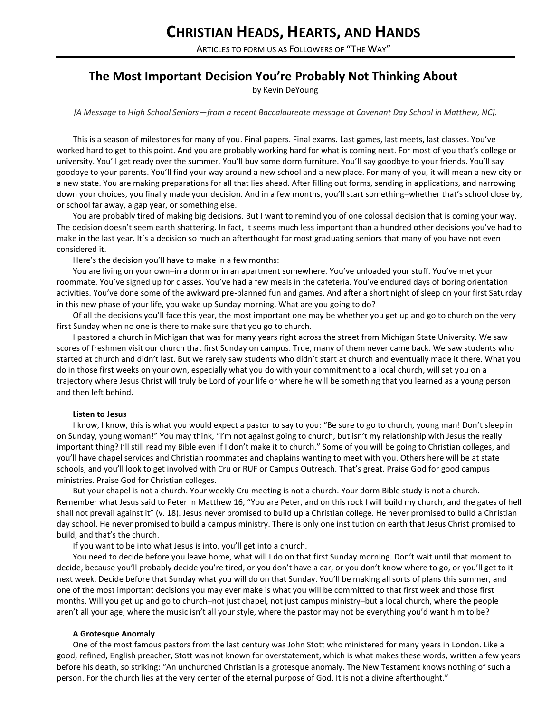ARTICLES TO FORM US AS FOLLOWERS OF "THE WAY"

# **The Most Important Decision You're Probably Not Thinking About**

by Kevin DeYoung

## *[A Message to High School Seniors—from a recent Baccalaureate message at Covenant Day School in Matthew, NC].*

This is a season of milestones for many of you. Final papers. Final exams. Last games, last meets, last classes. You've worked hard to get to this point. And you are probably working hard for what is coming next. For most of you that's college or university. You'll get ready over the summer. You'll buy some dorm furniture. You'll say goodbye to your friends. You'll say goodbye to your parents. You'll find your way around a new school and a new place. For many of you, it will mean a new city or a new state. You are making preparations for all that lies ahead. After filling out forms, sending in applications, and narrowing down your choices, you finally made your decision. And in a few months, you'll start something–whether that's school close by, or school far away, a gap year, or something else.

You are probably tired of making big decisions. But I want to remind you of one colossal decision that is coming your way. The decision doesn't seem earth shattering. In fact, it seems much less important than a hundred other decisions you've had to make in the last year. It's a decision so much an afterthought for most graduating seniors that many of you have not even considered it.

Here's the decision you'll have to make in a few months:

You are living on your own–in a dorm or in an apartment somewhere. You've unloaded your stuff. You've met your roommate. You've signed up for classes. You've had a few meals in the cafeteria. You've endured days of boring orientation activities. You've done some of the awkward pre-planned fun and games. And after a short night of sleep on your first Saturday in this new phase of your life, you wake up Sunday morning. What are you going to do[?](javascript:void(0);)

Of all the decisions you'll face this year, the most important one may be whether you get up and go to church on the very first Sunday when no one is there to make sure that you go to church.

I pastored a church in Michigan that was for many years right across the street from Michigan State University. We saw scores of freshmen visit our church that first Sunday on campus. True, many of them never came back. We saw students who started at church and didn't last. But we rarely saw students who didn't start at church and eventually made it there. What you do in those first weeks on your own, especially what you do with your commitment to a local church, will set you on a trajectory where Jesus Christ will truly be Lord of your life or where he will be something that you learned as a young person and then left behind.

## **Listen to Jesus**

I know, I know, this is what you would expect a pastor to say to you: "Be sure to go to church, young man! Don't sleep in on Sunday, young woman!" You may think, "I'm not against going to church, but isn't my relationship with Jesus the really important thing? I'll still read my Bible even if I don't make it to church." Some of you will be going to Christian colleges, and you'll have chapel services and Christian roommates and chaplains wanting to meet with you. Others here will be at state schools, and you'll look to get involved with Cru or RUF or Campus Outreach. That's great. Praise God for good campus ministries. Praise God for Christian colleges.

But your chapel is not a church. Your weekly Cru meeting is not a church. Your dorm Bible study is not a church. Remember what Jesus said to Peter in Matthew 16, "You are Peter, and on this rock I will build my church, and the gates of hell shall not prevail against it" (v. 18). Jesus never promised to build up a Christian college. He never promised to build a Christian day school. He never promised to build a campus ministry. There is only one institution on earth that Jesus Christ promised to build, and that's the church.

If you want to be into what Jesus is into, you'll get into a church.

You need to decide before you leave home, what will I do on that first Sunday morning. Don't wait until that moment to decide, because you'll probably decide you're tired, or you don't have a car, or you don't know where to go, or you'll get to it next week. Decide before that Sunday what you will do on that Sunday. You'll be making all sorts of plans this summer, and one of the most important decisions you may ever make is what you will be committed to that first week and those first months. Will you get up and go to church–not just chapel, not just campus ministry–but a local church, where the people aren't all your age, where the music isn't all your style, where the pastor may not be everything you'd want him to be?

## **A Grotesque Anomaly**

One of the most famous pastors from the last century was John Stott who ministered for many years in London. Like a good, refined, English preacher, Stott was not known for overstatement, which is what makes these words, written a few years before his death, so striking: "An unchurched Christian is a grotesque anomaly. The New Testament knows nothing of such a person. For the church lies at the very center of the eternal purpose of God. It is not a divine afterthought."